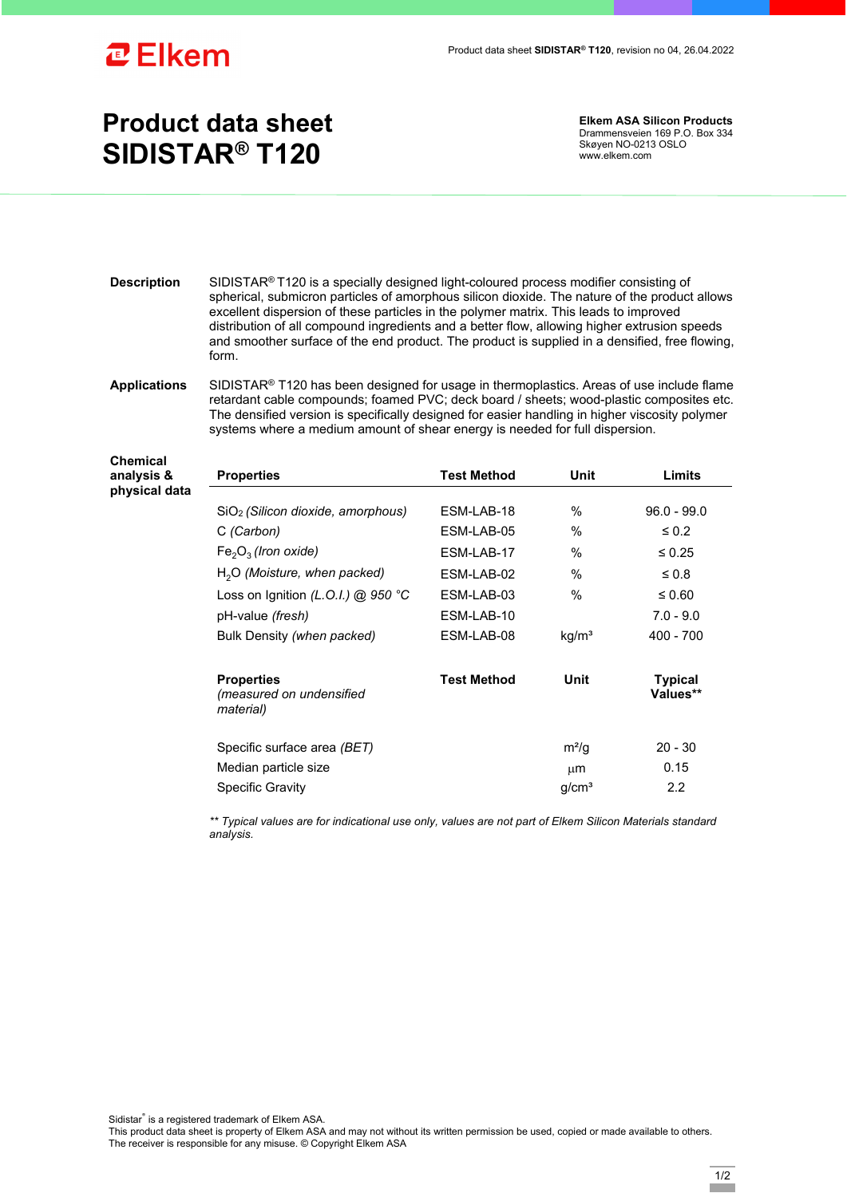

## **Product data sheet SIDISTAR® T120**

**Elkem ASA Silicon Products**  Drammensveien 169 P.O. Box 334 Skøyen NO-0213 OSLO www.elkem.com

**Description** SIDISTAR<sup>®</sup> T120 is a specially designed light-coloured process modifier consisting of spherical, submicron particles of amorphous silicon dioxide. The nature of the product allows excellent dispersion of these particles in the polymer matrix. This leads to improved distribution of all compound ingredients and a better flow, allowing higher extrusion speeds and smoother surface of the end product. The product is supplied in a densified, free flowing, form. **Applications** SIDISTAR® T120 has been designed for usage in thermoplastics. Areas of use include flame retardant cable compounds; foamed PVC; deck board / sheets; wood-plastic composites etc. The densified version is specifically designed for easier handling in higher viscosity polymer systems where a medium amount of shear energy is needed for full dispersion. **Chemical analysis & physical data Properties Test Method Unit Limits** SiO<sub>2</sub> (Silicon dioxide, amorphous) ESM-LAB-18 % 96.0 - 99.0 C *(Carbon)* ESM-LAB-05 % ≤ 0.2  $Fe<sub>2</sub>O<sub>3</sub>$  *(Iron oxide)* ESM-LAB-17 %  $\leq 0.25$ 

| $H2O$ (Moisture, when packed)                                               | FSM-I AB-02        | $\%$              | $\leq 0.8$                 |
|-----------------------------------------------------------------------------|--------------------|-------------------|----------------------------|
| Loss on Ignition (L.O.I.) @ 950 °C                                          | ESM-LAB-03         | $\%$              | $\leq 0.60$                |
| pH-value <i>(fresh)</i>                                                     | ESM-LAB-10         |                   | $7.0 - 9.0$                |
| Bulk Density (when packed)                                                  | ESM-LAB-08         | kq/m <sup>3</sup> | $400 - 700$                |
| <b>Properties</b><br><i>(measured on undensified</i> )<br><i>material</i> ) | <b>Test Method</b> | Unit              | <b>Typical</b><br>Values** |
| Specific surface area (BET)                                                 |                    | m <sup>2</sup> /q | $20 - 30$                  |
| Median particle size                                                        |                    | $\mu$ m           | 0.15                       |
| <b>Specific Gravity</b>                                                     |                    | q/cm <sup>3</sup> | 2.2                        |

*\*\* Typical values are for indicational use only, values are not part of Elkem Silicon Materials standard analysis.* 

Sidistar® is a registered trademark of Elkem ASA.

This product data sheet is property of Elkem ASA and may not without its written permission be used, copied or made available to others. The receiver is responsible for any misuse. © Copyright Elkem ASA